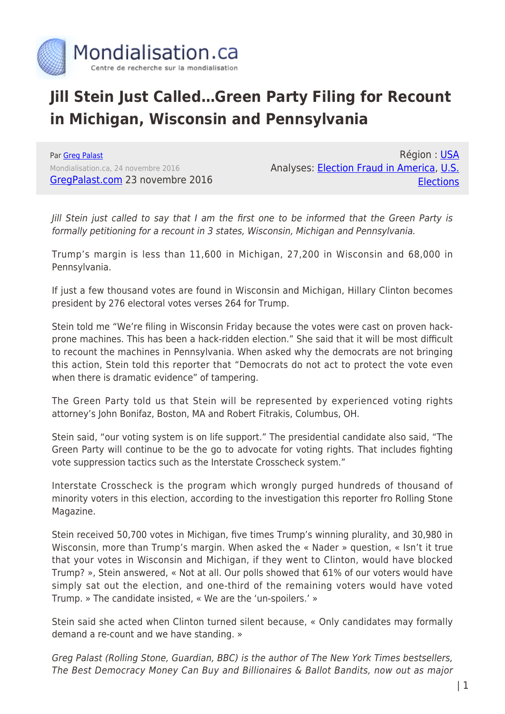

## **Jill Stein Just Called…Green Party Filing for Recount in Michigan, Wisconsin and Pennsylvania**

Par [Greg Palast](https://www.mondialisation.ca/author/greg-palast) Mondialisation.ca, 24 novembre 2016 [GregPalast.com](http://www.gregpalast.com/exclusive-jill-stein-just-called-green-party-filing-recount-michigan-wisconsin-pennsylvania/) 23 novembre 2016

Région : [USA](https://www.mondialisation.ca/region/usa) Analyses: [Election Fraud in America](https://www.mondialisation.ca/indepthreport/election-fraud-in-america), [U.S.](https://www.mondialisation.ca/indepthreport/u-s-elections) **[Elections](https://www.mondialisation.ca/indepthreport/u-s-elections)** 

Jill Stein just called to say that I am the first one to be informed that the Green Party is formally petitioning for a recount in 3 states, Wisconsin, Michigan and Pennsylvania.

Trump's margin is less than 11,600 in Michigan, 27,200 in Wisconsin and 68,000 in Pennsylvania.

If just a few thousand votes are found in Wisconsin and Michigan, Hillary Clinton becomes president by 276 electoral votes verses 264 for Trump.

Stein told me "We're filing in Wisconsin Friday because the votes were cast on proven hackprone machines. This has been a hack-ridden election." She said that it will be most difficult to recount the machines in Pennsylvania. When asked why the democrats are not bringing this action, Stein told this reporter that "Democrats do not act to protect the vote even when there is dramatic evidence" of tampering.

The Green Party told us that Stein will be represented by experienced voting rights attorney's John Bonifaz, Boston, MA and Robert Fitrakis, Columbus, OH.

Stein said, "our voting system is on life support." The presidential candidate also said, "The Green Party will continue to be the go to advocate for voting rights. That includes fighting vote suppression tactics such as the Interstate Crosscheck system."

Interstate Crosscheck is the program which wrongly purged hundreds of thousand of minority voters in this election, according to the investigation this reporter fro Rolling Stone Magazine.

Stein received 50,700 votes in Michigan, five times Trump's winning plurality, and 30,980 in Wisconsin, more than Trump's margin. When asked the « Nader » question, « Isn't it true that your votes in Wisconsin and Michigan, if they went to Clinton, would have blocked Trump? », Stein answered, « Not at all. Our polls showed that 61% of our voters would have simply sat out the election, and one-third of the remaining voters would have voted Trump. » The candidate insisted, « We are the 'un-spoilers.' »

Stein said she acted when Clinton turned silent because, « Only candidates may formally demand a re-count and we have standing. »

Greg Palast (Rolling Stone, Guardian, BBC) is the author of The New York Times bestsellers, The Best Democracy Money Can Buy and Billionaires & Ballot Bandits, now out as major